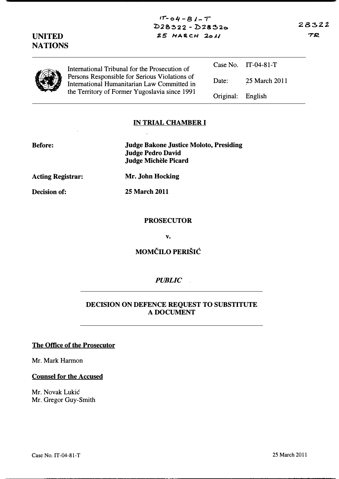| $25$ MARCH $2011$<br><b>UNITED</b><br><b>NATIONS</b> |                                                                                                                                                                                                |           |                       | 7 |
|------------------------------------------------------|------------------------------------------------------------------------------------------------------------------------------------------------------------------------------------------------|-----------|-----------------------|---|
|                                                      | International Tribunal for the Prosecution of<br>Persons Responsible for Serious Violations of<br>International Humanitarian Law Committed in<br>the Territory of Former Yugoslavia since 1991 |           | Case No. $IT-04-81-T$ |   |
|                                                      |                                                                                                                                                                                                | Date:     | 25 March 2011         |   |
|                                                      |                                                                                                                                                                                                | Original: | English               |   |

 $17 - 04 - 81 - T$  $D28322 - D28320$ 

### IN TRIAL CHAMBER I

# Judge Bakone Justice Moloto, Presiding Judge Pedro David Judge Michele Picard Acting Registrar: Mr. John Hocking

Before:

Decision of: 25 March 2011

ú.

### PROSECUTOR

v.

### MOMČILO PERIŠIĆ

### PUBLIC

### DECISION ON DEFENCE REQUEST TO SUBSTITUTE A DOCUMENT

#### The Office of the Prosecutor

Mr. Mark Harmon

#### Counsel for the Accused

Mr. Novak Lukić Mr. Gregor Guy-Smith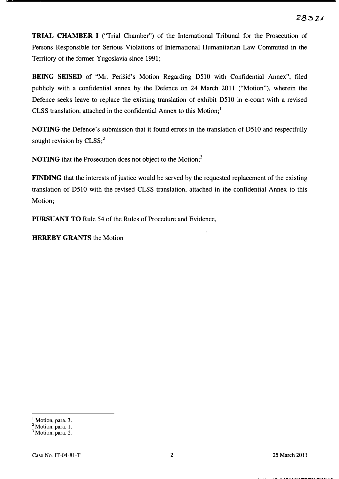TRIAL CHAMBER I ("Trial Chamber") of the International Tribunal for the Prosecution of Persons Responsible for Serious Violations of International Humanitarian Law Committed in the Territory of the former Yugoslavia since 1991;

BEING SEISED of "Mr. Perisic's Motion Regarding 0510 with Confidential Annex", filed publicly with a confidential annex by the Defence on 24 March 2011 ("Motion"), wherein the Defence seeks leave to replace the existing translation of exhibit 0510 in e-court with a revised CLSS translation, attached in the confidential Annex to this Motion; $<sup>1</sup>$ </sup>

NOTING the Defence's submission that it found errors in the translation of D510 and respectfully sought revision by  $CLSS<sup>2</sup>$ .

NOTING that the Prosecution does not object to the Motion;<sup>3</sup>

FINDING that the interests of justice would be served by the requested replacement of the existing translation of 0510 with the revised CLSS translation, attached in the confidential Annex to this Motion;

PURSUANT TO Rule 54 of the Rules of Procedure and Evidence,

HEREBY GRANTS the Motion

Motion, para. 3.

<sup>&</sup>lt;sup>2</sup> Motion, para. 1.

<sup>&</sup>lt;sup>3</sup> Motion, para. 2.